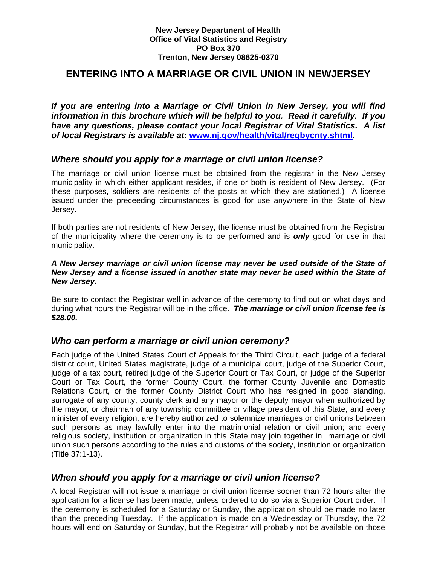#### **New Jersey Department of Health Office of Vital Statistics and Registry PO Box 370 Trenton, New Jersey 08625-0370**

# **ENTERING INTO A MARRIAGE OR CIVIL UNION IN NEWJERSEY**

*If you are entering into a Marriage or Civil Union in New Jersey, you will find information in this brochure which will be helpful to you. Read it carefully. If you have any questions, please contact your local Registrar of Vital Statistics. A list of local Registrars is available at:* **www.nj.gov/health/vital/regbycnty.shtml***.*

### *Where should you apply for a marriage or civil union license?*

The marriage or civil union license must be obtained from the registrar in the New Jersey municipality in which either applicant resides, if one or both is resident of New Jersey. (For these purposes, soldiers are residents of the posts at which they are stationed.) A license issued under the preceeding circumstances is good for use anywhere in the State of New Jersey.

If both parties are not residents of New Jersey, the license must be obtained from the Registrar of the municipality where the ceremony is to be performed and is *only* good for use in that municipality.

#### *A New Jersey marriage or civil union license may never be used outside of the State of New Jersey and a license issued in another state may never be used within the State of New Jersey.*

Be sure to contact the Registrar well in advance of the ceremony to find out on what days and during what hours the Registrar will be in the office. *The marriage or civil union license fee is \$28.00.*

# *Who can perform a marriage or civil union ceremony?*

Each judge of the United States Court of Appeals for the Third Circuit, each judge of a federal district court, United States magistrate, judge of a municipal court, judge of the Superior Court, judge of a tax court, retired judge of the Superior Court or Tax Court, or judge of the Superior Court or Tax Court, the former County Court, the former County Juvenile and Domestic Relations Court, or the former County District Court who has resigned in good standing, surrogate of any county, county clerk and any mayor or the deputy mayor when authorized by the mayor, or chairman of any township committee or village president of this State, and every minister of every religion, are hereby authorized to solemnize marriages or civil unions between such persons as may lawfully enter into the matrimonial relation or civil union; and every religious society, institution or organization in this State may join together in marriage or civil union such persons according to the rules and customs of the society, institution or organization (Title 37:1-13).

### *When should you apply for a marriage or civil union license?*

A local Registrar will not issue a marriage or civil union license sooner than 72 hours after the application for a license has been made, unless ordered to do so via a Superior Court order. If the ceremony is scheduled for a Saturday or Sunday, the application should be made no later than the preceding Tuesday. If the application is made on a Wednesday or Thursday, the 72 hours will end on Saturday or Sunday, but the Registrar will probably not be available on those